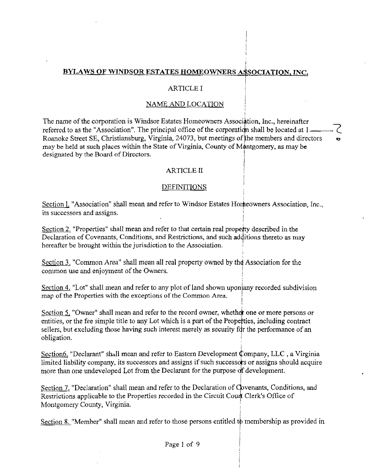# BYLAWS OF WINDSOR ESTATES HOMEOWNERS ASSOCIATION, INC.

## ARTICLE I **<sup>i</sup>**

I

!

## **NAME AND LOCATION**

The name of the corporation is Windsor Estates Homeowners Association, Inc., hereinafter referred to as the "Association". The principal office of the corporation shall be located at 1 \_\_\_\_\_\_\_\_\_\_\_\_\_\_<br>Roanoke Street SE. Christiansburg, Virginia. 24073, but meetings of the members and directors Roanoke Street SE, Christiansburg, Virginia, 24073, but meetings of the members and directors may be held at such places within the State of Virginia, County of Montgomery, as may be designated by the Board of Directors.

# ARTICLE I1

## **DEFINITIONS**

Section 1. "Association" shall mean and refer to Windsor Estates Horneowners Association, Inc., its successors and assigns. !

Section 2. "Properties" shall mean and refer to that certain real property described in the Declaration of Covenants, Conditions, and Restrictions, **and** such ad itions thereto **as** may hereafter be brought within the jurisdiction to the Association.

Section 3. "Common Area" shall mean all real property owned by the Association for the common use and enjoyment of the Owners.

Section 4. "Lot" shall mean and refer to any plot of land shown upon any recorded subdivision map of the Properties with the exceptions of the Common **Area.** <sup>j</sup>

Section 5. "Owner" shall mean and refer to the record owner, whether one or more persons or entities, or the fee simple title to any Lot which is a part of the Properties, including contract sellers, but excluding those having such interest merely as security for the performance of an obligation.

Section6. "Declarant" shall mean and refer to Eastern Development Company, LLC, a Virginia limited liability company, its successors and assigns if such successors or assigns should acquire more than one undeveloped Lot from the Declarant for the purpose of development.

Section 7. "Declaration" shall mean and refer to the Declaration of Covenants, Conditions, and Restrictions applicable to the Properties recorded in the Circuit Court Clerk's Office of Montgomery County, Virginia.

Section 8. "Member" shall mean and refer to those persons entitled to membership as provided in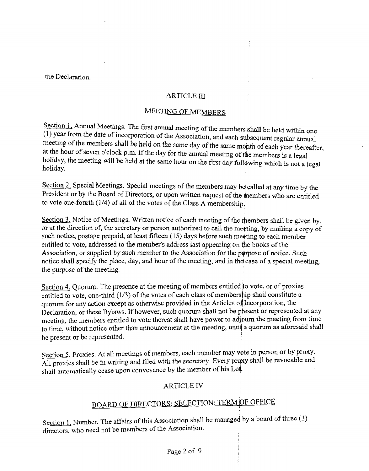the Declaration.

## ARTICLE III

 $\frac{1}{2}$ 

## MEETING OF MEMBERS

Section 1. Annual Meetings. The first annual meeting of the members shall be held within one (1) year from the date of incorporation of the Association, and each subsequent regular annual meeting of the members shall be held on the same day of the same mohth of each year thereaffer, at the hour of seven o'clock p.m. If the day for the annual meeting of the members is a legal holiday, the meeting will be held at the same hour on the first day following which is not a legal holiday,

Section 2. Special Meetings. Special meetings of the members may be called at any time by the President or by the Board of Directors, or upon written request of the **members** who are entitled to vote one-fourth (1/4) of all of the votes of the Class A membership;

Section 3. Notice of Meetings. Written notice of each meeting of the members shall be given by, or at the direction of, the secretary or person authorized to call the mepting, by mailing a **copy** of such notice, postage prepaid, at least fifteen  $(15)$  days before such meeting to each member entitled to vote, addressed to the member's address last appearing on the books of the Association, or supplied by such member to the Association for the purpose of notice. Such notice shall specify the place, day, and hour of the meeting, and in the case of a special meeting, the purpose of the meeting.

Section 4. Quorum. The presence at the meeting of members entitled to vote, or of proxies entitled to vote, one-third  $(1/3)$  of the votes of each class of membership shall constitute a quorum for any action except as otherwise provided in the Articles of Incorporation, the Declaration, or these Bylaws. If however, such quorum shall not be present or represented at any meeting, the members entitled to vote thereat shall have power to adjburn the meeting from time to time, without notice other than announcement at the meeting, until a quorum as aforesaid shall be present or be represented.

Section 5. Proxies. At all meetings of members, each member may vote in person or by proxy. All proxies shall be in writing and filed with the secretary. Every proxy shall be revocable and shall automatically cease upon conveyance by the member of his Lot.

# ARTICLE 1V

# BOARD OF DIRECTORS: SELECTION: TERM DF OFFICE

Section 1, Number. The affairs of this Association shall be managed by a board of thee (3) directors, who need not be members of the Association.

.: {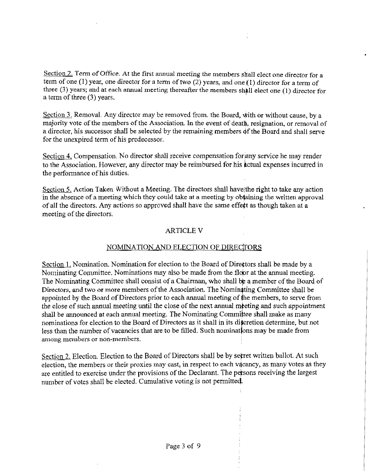Section 2. Term of Office. At the first annual meeting the members shall elect one director for a term of one (1) year, one director for a term of two (2) years, and one  $(1)$  director for a term of three **(3)** years; and at each annual meeting thereafter rhe members **shhll** elect one (1) director for a term of three (3) years.

Section 3. Removal. Any director may be removed from. the Board, with or without cause, by a majority vote of the members of the Association. **In** the event of deatb, resignation, or removal of a director, his successor shall be selected by the remaining members df the Board and shall serve for the unexpired term of his predecessor.

Section 4, Compensation. No director shall receive compensation for any service he may render to the Association. However, any director may be reimbursed for his bctual expenses incurred in the performance of his duties.

Section 5. Action Taken Without a Meeting. The directors shall have the right to take any action in the absence of a meeting which they could rake **at** a meeting by obkining the written approval of all the directors. Any actions so approved shall have the same effebt as though taken at a meeting of the directors.

# ARTICLE V

# NOMINATION AND ELECTION OF DIRECTORS

Section 1. Nomination. Nomination for election to the Board of Directors shall be made by a Nominating Committee. Nominations may also be made from the floor at the annual meeting. The Nominating Committee shall consist of a Chairman, who shall be a member of the Board of Directors, and two or more members of the Association. The Nominating Committee shall be appointed by the Board of Directors prior to each annual meeting of the members, to serve from the close of such annual meeting until the close of the next annual meeting and such appointment shall be announced at each annual meeting. The Nominating Committee shall make as many nominations for election to the Board of Directors as it shall in its discretion determine, but not less than the number of vacancies that are to be filled. Such nominations may be made from among members or non-members.

Section 2. Election. Election to the Board of Directors shall be by secret written ballot. At such election, the members or their proxies may **cast,** in respect to each vdcancy, as many votes as they are entitled to exercise under the provisions of the Declarmt. The peksons receiving the largest number of votes shall be elected. Cumulative voting is not permitted.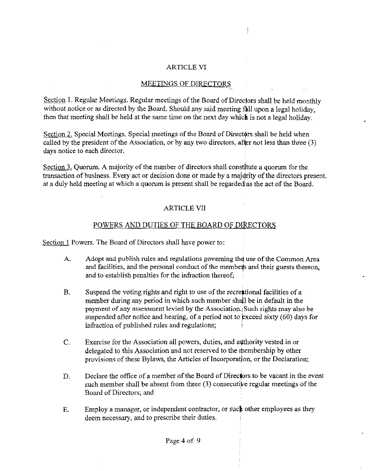#### **ARTICLE VJ;**

#### MEETINGS OF DIRECTORS .

Section 1. Regular Meetings. Regular meetings of the Board of Directors shall be held monthly without notice or as directed by the Board. Should any said meeting  $fall$  upon a legal holiday, then that meeting shall be held at the same tine on the next day which is not *a* legal holiday,

Section 2. Special Meetings. Special meetings of the Board of Directors shall be held when called by the president of the Association, or by any two directors, after not less than three (3) days notice to each director.

Section **3.** Quorum. A majority of **the** number of directors shall constitute **a** quom for the transaction of business. Every act or decision done or made by a majqrity of the directors present. at a duly held meeting at which a quorum is present shall be regarded as the act of the Board.

#### ARTICLE VII

## POWERS AND DUTIES OF THE BOARD OF DIRECTORS

Section 1 Powers. The Board of Directors shall have power to:

- A. Adopt and publish rules and regulations governing the use of the Common Area and facilities, and the personal conduct of the members and their guests thereon, and to establish penalties for the infraction thereof;
- B. Suspend the voting rights and right to use of the recrektional facilities of a member during any period in which such member shall be in default in the payment of any assessment levied by the Association.: Such rights may also be suspended after notice and hearing, of a period not to exceed sixty (60) days for infraction of published rules and regulations;
- C. Exercise for the Association all powers, duties, and **agthority** vested in or delegated to this Association and not reserved to the thembership by other provisions of these Bylaws, the Articles of Incorporation, or the Declaration;
- D. Declare the office of a member of the Board of Directors to be vacant in the event such member shall be absent from three (3) consecutive regular meetings of the Board of Directors; and
- **E.** Employ a manager, or independent contractor, or such other employees **as** they deem necessary, and to prescribe their duties.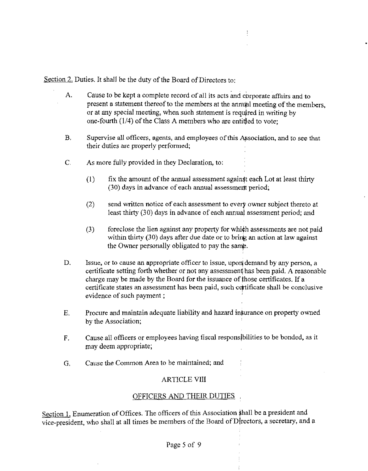Section 2. Duties. It shall be the duty of the Board of Directors to:

A. Cause to be kept a complete record of all its acts and corporate affairs and to present a statement thereof to the members at the annual meeting of the members, or at any special meeting, when such statement is required in writing by one-fourth (1/4) of the Class **A** members who are entided to vote;

 $\ddot{\mathrm{r}}$ 

- B. Supervise all officers, agents, and employees of this Association, and to see that their duties are properly performed;
- C. **As** more fully provided in they Declaration, to:
	- (1) fix the amount of the annual assessment againgit each Lot at least thirty (30) days in advance of each annual **assessmem** period;
	- $(2)$  send written notice of each assessment to every owner subject thereto at least thirty (30) days in advance of each annual assessment period; and
	- $(3)$  foreclose the lien against any property for which assessments are not paid within thirty  $(30)$  days after due date or to bring an action at law against the Owner personally obligated to pay the same.
- D. Issue, or to cause an appropriate officer to issue, **upoa** demand by any person, a certificate setting forth whether or not any assessmend has been paid. **A** reasonable charge may be made by the Board for the issuance of those certificates. If a certificate states **m** assessment has been paid, such cqificate shall be conclusive evidence of such payment ;
- E. Procure and maintain adequate liability and hazard ingurance on property owned by the Association;
- F. Cause all oficers or employees having fiscal responsjbilities to be bonded, as it may deem appropriate;
- **G,** Cause the Common Area to be maintained; and

# ARTICLE **VIII**

# Q'FFICERS AND THEIR DUTIES ,

Section 1. Enumeration of Offices. The officers of this Association \$hall be a president and vice-president, who shall at all times be members of the Board of Directors, a secretary, and a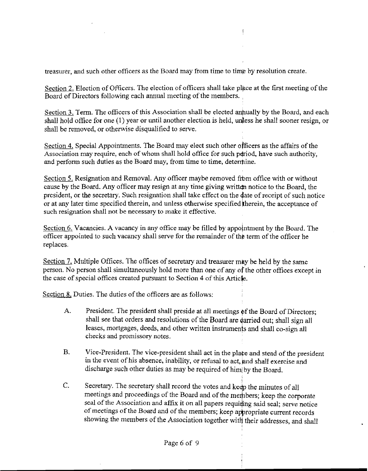treasurer, and such other officers as the Board may from time to timk by resolution create.

Section 2. Election of Officers. The election of officers shall take place at the first meeting of the Board of Directors following each annual meeting of the members.

 $\mathfrak{f}$ 

Section 3. Term. The officers of this Association shall be elected annually by the Board, and each shall hold ofice for one (1) year or until another election is held, **udess** he shall sooner resign, or shall be removed, or otherwise disqualified to serve.

Section 4. Special Appointments. The Board may elect such other oficers **as** the affairs of the Association may require, each of whom shall hold office for such period, have such authority, and perform such duties as the Board may, from time to time, deternine.

Section 5. Resignation and Removal. Any officer maybe removed from office with or without. cause by the Board. Any officer may resign at any time giving written notice to the Board, the president, or the secretary, Such resignation shall take effect on the date of receipt of such notice or at any later time specified therein, and unless otherwise specified therein, the acceptance of such resignation shall not be necessary to make it effective.

Section 6. Vacancies. **A** vacancy in any ofice may be filled by appointment by the Board. The officer appointed to such vacancy shall serve for rhe remainder of the term of the officer he replaces.

Section 7. Multiple Offices. The offices of secretary and treasurer **mhy** be held by rhe same person. No person shall simultaneously hold more than one of any of the other ofices except in the case of special offices created pursuant to Section 4 of this Article,

Section **8.** Duties, The duties of the officers are **as** follows:

- A. President. The president shall preside at all meetings of the Board of Directors; shall see that orders and resolutions of the Board are darried out; shall sign all leases, mortgages, deeds, and other written instruments and shall co-sign all checks and promissory notes.
- B. Vice-president. The vice-president shall act in the **plate** and stead of the president in the event of his absence, inability, or refusal to act, and shall exercise and discharge such other duties as may be required of him by the Board.
- C. Secretary. The secretary shall record the votes and keep the minutes of all meetings and proceedings of the Board and of the members; keep the corporate seal of the Association and affix it on all papers requiring said seal; serve notice In the event of rhs absence, inability, or refusal to act, and shall exercise and<br>discharge such other duties as may be required of him by the Board.<br>Secretary. The secretary shall record the votes and keep the minutes of showing the members of the Association together with their addresses, and shall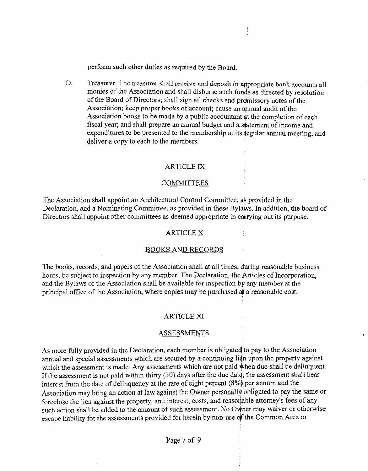perform such other duties as required by the Board,

D. Treasurer. The treasurer shall receive and deposit in appropriate bank accounts all monies of the Association and shall disburse such funds as directed by resolution of the Board of Directors; shall sign all checks and promissory notes of the Association; keep proper books of account; cause an annual audit of the Association books to be made by a public accountant dt the completion of each fiscal year; and shall prepare an annual budget and a statement of income and expenditures to be presented to the membership at its **j**egular annual meeting, and deliver a copy to each to the members.

#### ARTICLE IX

#### COMMITTEES

The Association shall appoint an Architectural Control Committee, as provided in the Declaration, and a Nominating Committee, as provided in these Bylaws. In addition, the board of Directors shall appoint other committees as deemed appropriate in carrying out its purpose.

### ARTICLE **X**

#### BOOKS AND RECORDS

The books, records, and papers of the Association shall at all times, during reasonable business hours, be subject to inspection by any member. The Declaration, the krticles of Incorporation, and the Bylaws of the Association shall be available for inspection by any member at the principal office of the Association, where copies may be purchased at a reasonable cost.

## ARTICLE XI

#### ASSESSMENTS

As more fully provided in the Declaration, each member is obligated to pay to the Association annual and special assessments which are secured by a continuing lion upon the property against which the assessment is made. Any assessments which are not paid when due shall be delinquent. If the assessment is not paid within thirty  $(30)$  days after the due data, the assessment shall bear interest from the date of delinquency at the rate of eight percent **(8%)** per annum and the Association may bring an action at law against the Owner personally obligated to pay the same or foreclose the lien against the property, and interest, costs, and reasonable attorney's fees of any such action shall be added to the amount of such assessment. No Owner may waiver or otherwise escape liability for the assessments provided for herein by non-use of the Common Area or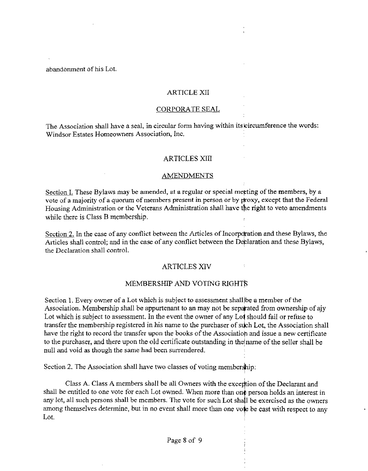abandonment of his Lot.

#### ARTICLE **XI1**

#### CORPORATE SEAL

The Association shall have a seal, in circular form having within its circumference the words: Windsor Estates Homeowners Association, Inc.

## **ARTICLES XIII**

#### AMENDMENTS

Section I. These Bylaws may be amended, at a regular or special meping of the members, by a vote of a majority of a quorum of members present in person or by proxy, except that the Federal Housing Administration or the Veterans Administration shall have the right to veto amendments while there is Class B membership.

Section 2. In the case of any conflict between the Articles of Incorporation and these Bylaws, the Articles shall control; and in the case of any conflict between the Declaration and these Bylaws, the Declaration shall control.

## ARTICLES XIV

## MEMBERSHIP AND VOTING RJGHTB

Section I. Every owner of *a* Lot which is subject to assessment shallbe a member of the Association. Membership shall be appurtenant to an may not be separated from ownership of ajy Lot which is subject to assessment. In the event the owner of any Lot should fail or refuse to transfer the membership registered in his name to the purchaser of such Lot, the Association shall have the right to record the transfer upon the books of rhe Associatioh and issue a **new** certificate to the purchaser, and there upon the old certificate outstanding in theinarne of the seller shall be null and void **as** though the same **had** been surrendered.

Section 2. The Association shall have two classes of voting membership:

Class A. Class A members shall be **all** Owners with the excehion of the Declarant and shall be entitled to one vote for each Lot owned. When more than one person holds an interest in any lot, all such persons shall be members. The vote for such Lot shall be exercised as the owners among themselves determine, but in no event shall more than one vote be cast with respect to any Lor.